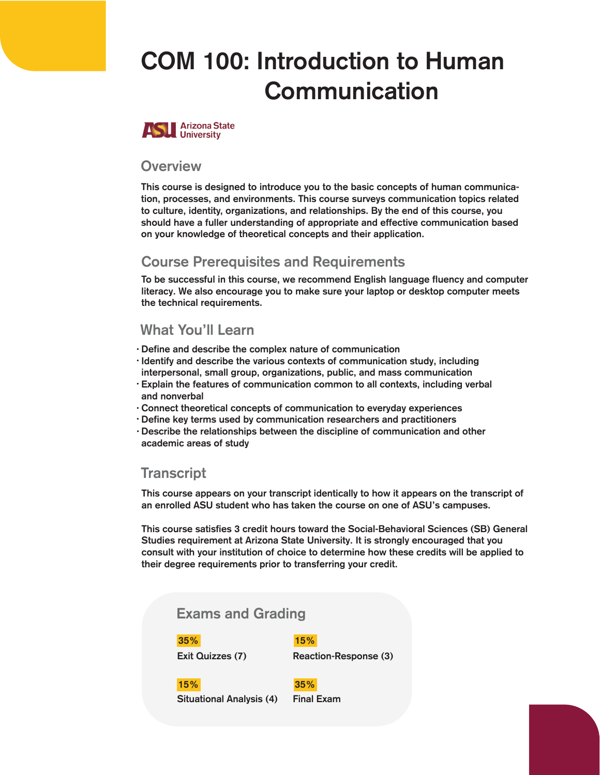# COM 100: Introduction to Human **Communication**



#### **Overview**

This course is designed to introduce you to the basic concepts of human communication, processes, and environments. This course surveys communication topics related to culture, identity, organizations, and relationships. By the end of this course, you should have a fuller understanding of appropriate and effective communication based on your knowledge of theoretical concepts and their application.

# Course Prerequisites and Requirements

To be successful in this course, we recommend English language fluency and computer literacy. We also encourage you to make sure your laptop or desktop computer meets the technical requirements.

# What You'll Learn

- Define and describe the complex nature of communication •
- · Identify and describe the various contexts of communication study, including interpersonal, small group, organizations, public, and mass communication
- Explain the features of communication common to all contexts, including verbal and nonverbal
- Connect theoretical concepts of communication to everyday experiences •
- Define key terms used by communication researchers and practitioners •
- Describe the relationships between the discipline of communication and other •academic areas of study

# **Transcript**

This course appears on your transcript identically to how it appears on the transcript of an enrolled ASU student who has taken the course on one of ASU's campuses.

This course satisfies 3 credit hours toward the Social-Behavioral Sciences (SB) General Studies requirement at Arizona State University. It is strongly encouraged that you consult with your institution of choice to determine how these credits will be applied to their degree requirements prior to transferring your credit.

### Exams and Grading

#### 35% 15%

Exit Quizzes (7) Reaction-Response (3)

Situational Analysis (4) Final Exam

15% 35%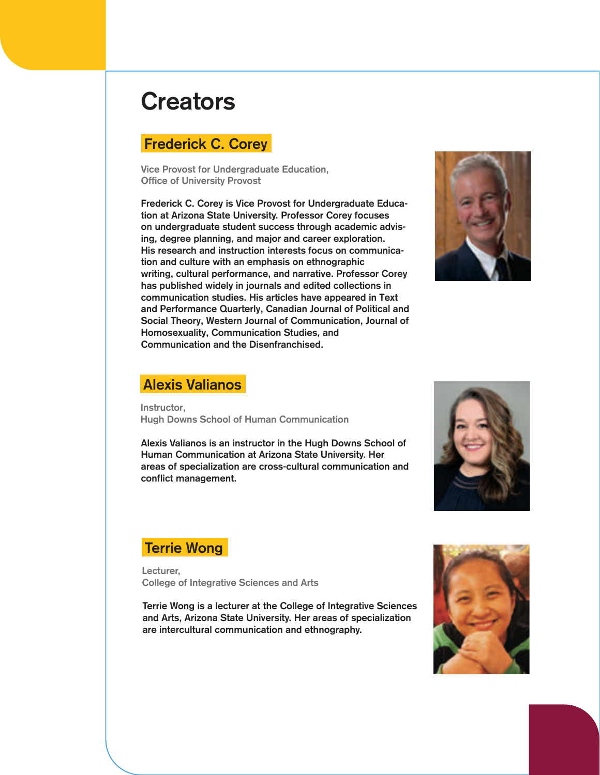# **Creators**

# Frederick C. Corey

Vice Provost for Undergraduate Education, Office of University Provost

Frederick C. Corey is Vice Provost for Undergraduate Education at Arizona State University. Professor Corey focuses on undergraduate student success through academic advising, degree planning, and major and career exploration. His research and instruction interests focus on communication and culture with an emphasis on ethnographic writing, cultural performance, and narrative. Professor Corey has published widely in journals and edited collections in communication studies. His articles have appeared in Text and Performance Quarterly, Canadian Journal of Political and Social Theory, Western Journal of Communication, Journal of Homosexuality, Communication Studies, and Communication and the Disenfranchised.



## Alexis Valianos

Instructor, Hugh Downs School of Human Communication

Alexis Valianos is an instructor in the Hugh Downs School of Human Communication at Arizona State University. Her areas of specialization are cross-cultural communication and conflict management.



## Terrie Wong

Lecturer, College of Integrative Sciences and Arts

Terrie Wong is a lecturer at the College of Integrative Sciences and Arts, Arizona State University. Her areas of specialization are intercultural communication and ethnography.